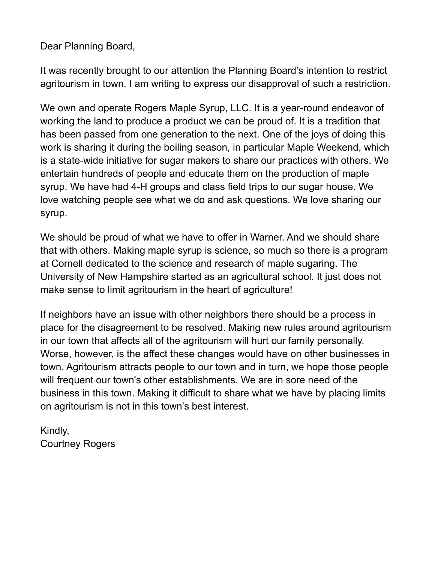Dear Planning Board,

It was recently brought to our attention the Planning Board's intention to restrict agritourism in town. I am writing to express our disapproval of such a restriction.

We own and operate Rogers Maple Syrup, LLC. It is a year-round endeavor of working the land to produce a product we can be proud of. It is a tradition that has been passed from one generation to the next. One of the joys of doing this work is sharing it during the boiling season, in particular Maple Weekend, which is a state-wide initiative for sugar makers to share our practices with others. We entertain hundreds of people and educate them on the production of maple syrup. We have had 4-H groups and class field trips to our sugar house. We love watching people see what we do and ask questions. We love sharing our syrup.

We should be proud of what we have to offer in Warner. And we should share that with others. Making maple syrup is science, so much so there is a program at Cornell dedicated to the science and research of maple sugaring. The University of New Hampshire started as an agricultural school. It just does not make sense to limit agritourism in the heart of agriculture!

If neighbors have an issue with other neighbors there should be a process in place for the disagreement to be resolved. Making new rules around agritourism in our town that affects all of the agritourism will hurt our family personally. Worse, however, is the affect these changes would have on other businesses in town. Agritourism attracts people to our town and in turn, we hope those people will frequent our town's other establishments. We are in sore need of the business in this town. Making it difficult to share what we have by placing limits on agritourism is not in this town's best interest.

Kindly, Courtney Rogers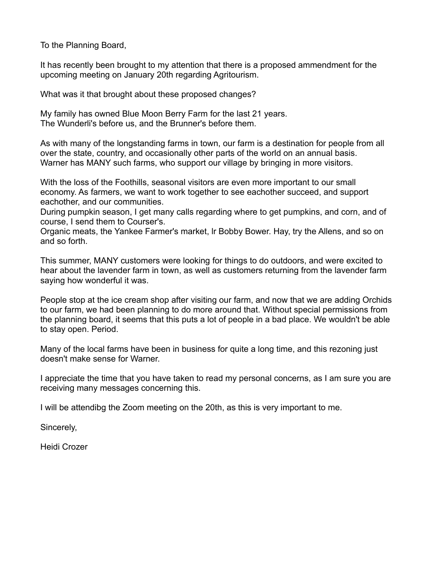To the Planning Board,

It has recently been brought to my attention that there is a proposed ammendment for the upcoming meeting on January 20th regarding Agritourism.

What was it that brought about these proposed changes?

My family has owned Blue Moon Berry Farm for the last 21 years. The Wunderli's before us, and the Brunner's before them.

As with many of the longstanding farms in town, our farm is a destination for people from all over the state, country, and occasionally other parts of the world on an annual basis. Warner has MANY such farms, who support our village by bringing in more visitors.

With the loss of the Foothills, seasonal visitors are even more important to our small economy. As farmers, we want to work together to see eachother succeed, and support eachother, and our communities.

During pumpkin season, I get many calls regarding where to get pumpkins, and corn, and of course, I send them to Courser's.

Organic meats, the Yankee Farmer's market, lr Bobby Bower. Hay, try the Allens, and so on and so forth.

This summer, MANY customers were looking for things to do outdoors, and were excited to hear about the lavender farm in town, as well as customers returning from the lavender farm saying how wonderful it was.

People stop at the ice cream shop after visiting our farm, and now that we are adding Orchids to our farm, we had been planning to do more around that. Without special permissions from the planning board, it seems that this puts a lot of people in a bad place. We wouldn't be able to stay open. Period.

Many of the local farms have been in business for quite a long time, and this rezoning just doesn't make sense for Warner.

I appreciate the time that you have taken to read my personal concerns, as I am sure you are receiving many messages concerning this.

I will be attendibg the Zoom meeting on the 20th, as this is very important to me.

Sincerely,

Heidi Crozer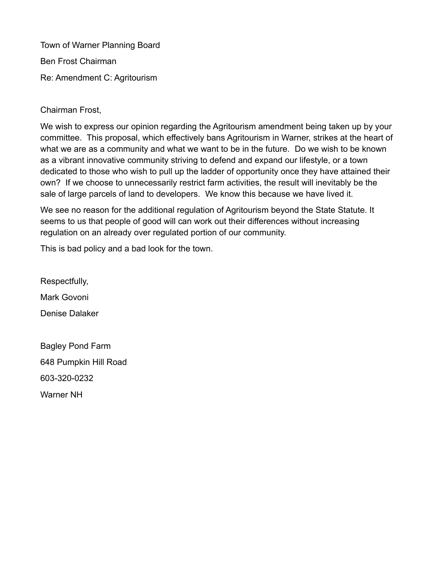Town of Warner Planning Board Ben Frost Chairman Re: Amendment C: Agritourism

Chairman Frost,

We wish to express our opinion regarding the Agritourism amendment being taken up by your committee. This proposal, which effectively bans Agritourism in Warner, strikes at the heart of what we are as a community and what we want to be in the future. Do we wish to be known as a vibrant innovative community striving to defend and expand our lifestyle, or a town dedicated to those who wish to pull up the ladder of opportunity once they have attained their own? If we choose to unnecessarily restrict farm activities, the result will inevitably be the sale of large parcels of land to developers. We know this because we have lived it.

We see no reason for the additional regulation of Agritourism beyond the State Statute. It seems to us that people of good will can work out their differences without increasing regulation on an already over regulated portion of our community.

This is bad policy and a bad look for the town.

Respectfully, Mark Govoni Denise Dalaker

Bagley Pond Farm 648 Pumpkin Hill Road 603-320-0232 Warner NH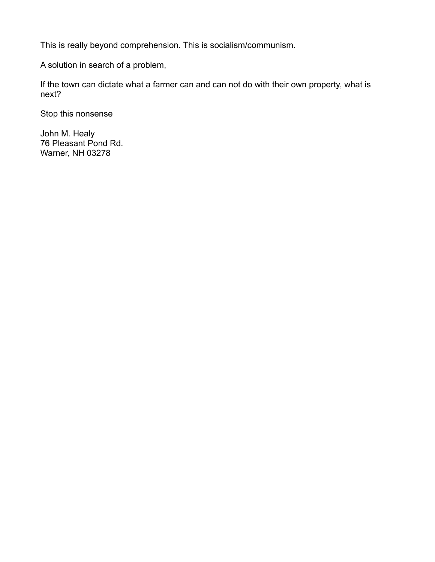This is really beyond comprehension. This is socialism/communism.

A solution in search of a problem,

If the town can dictate what a farmer can and can not do with their own property, what is next?

Stop this nonsense

John M. Healy 76 Pleasant Pond Rd. Warner, NH 03278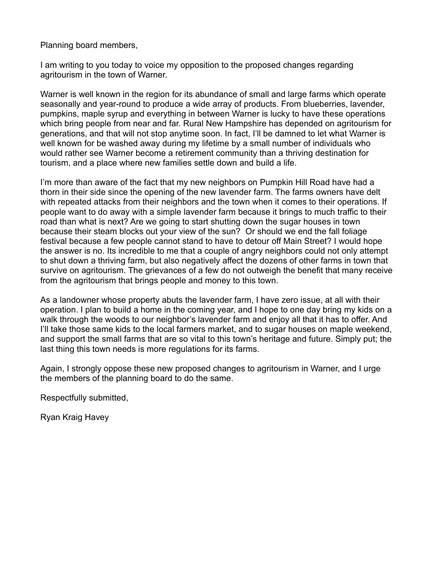Planning board members,

I am writing to you today to voice my opposition to the proposed changes regarding agritourism in the town of Warner.

Warner is well known in the region for its abundance of small and large farms which operate seasonally and year-round to produce a wide array of products. From blueberries, lavender, pumpkins, maple syrup and everything in between Warner is lucky to have these operations which bring people from near and far. Rural New Hampshire has depended on agritourism for generations, and that will not stop anytime soon. In fact, I'll be damned to let what Warner is well known for be washed away during my lifetime by a small number of individuals who would rather see Warner become a retirement community than a thriving destination for tourism, and a place where new families settle down and build a life.

I'm more than aware of the fact that my new neighbors on Pumpkin Hill Road have had a thorn in their side since the opening of the new lavender farm. The farms owners have delt with repeated attacks from their neighbors and the town when it comes to their operations. If people want to do away with a simple lavender farm because it brings to much traffic to their road than what is next? Are we going to start shutting down the sugar houses in town because their steam blocks out your view of the sun? Or should we end the fall foliage festival because a few people cannot stand to have to detour off Main Street? I would hope the answer is no. Its incredible to me that a couple of angry neighbors could not only attempt to shut down a thriving farm, but also negatively affect the dozens of other farms in town that survive on agritourism. The grievances of a few do not outweigh the benefit that many receive from the agritourism that brings people and money to this town.

As a landowner whose property abuts the lavender farm, I have zero issue, at all with their operation. I plan to build a home in the coming year, and I hope to one day bring my kids on a walk through the woods to our neighbor's lavender farm and enjoy all that it has to offer. And I'll take those same kids to the local farmers market, and to sugar houses on maple weekend, and support the small farms that are so vital to this town's heritage and future. Simply put; the last thing this town needs is more regulations for its farms.

Again, I strongly oppose these new proposed changes to agritourism in Warner, and I urge the members of the planning board to do the same.

Respectfully submitted,

Ryan Kraig Havey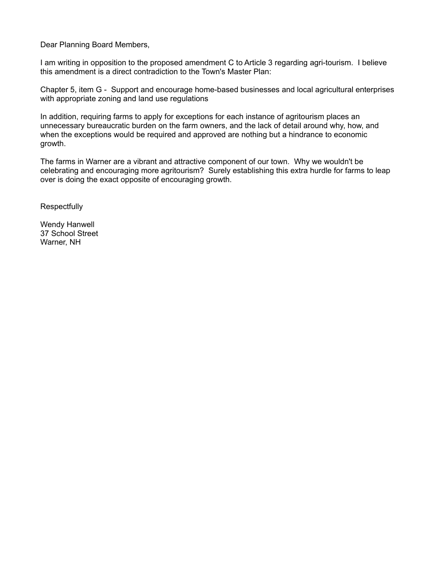Dear Planning Board Members,

I am writing in opposition to the proposed amendment C to Article 3 regarding agri-tourism. I believe this amendment is a direct contradiction to the Town's Master Plan:

Chapter 5, item G - Support and encourage home-based businesses and local agricultural enterprises with appropriate zoning and land use regulations

In addition, requiring farms to apply for exceptions for each instance of agritourism places an unnecessary bureaucratic burden on the farm owners, and the lack of detail around why, how, and when the exceptions would be required and approved are nothing but a hindrance to economic growth.

The farms in Warner are a vibrant and attractive component of our town. Why we wouldn't be celebrating and encouraging more agritourism? Surely establishing this extra hurdle for farms to leap over is doing the exact opposite of encouraging growth.

**Respectfully** 

Wendy Hanwell 37 School Street Warner, NH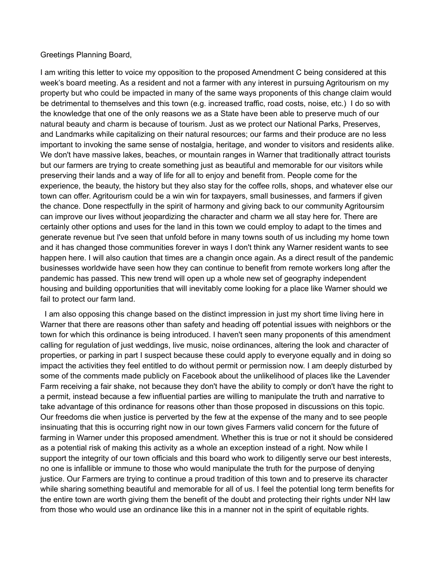## Greetings Planning Board,

I am writing this letter to voice my opposition to the proposed Amendment C being considered at this week's board meeting. As a resident and not a farmer with any interest in pursuing Agritourism on my property but who could be impacted in many of the same ways proponents of this change claim would be detrimental to themselves and this town (e.g. increased traffic, road costs, noise, etc.) I do so with the knowledge that one of the only reasons we as a State have been able to preserve much of our natural beauty and charm is because of tourism. Just as we protect our National Parks, Preserves, and Landmarks while capitalizing on their natural resources; our farms and their produce are no less important to invoking the same sense of nostalgia, heritage, and wonder to visitors and residents alike. We don't have massive lakes, beaches, or mountain ranges in Warner that traditionally attract tourists but our farmers are trying to create something just as beautiful and memorable for our visitors while preserving their lands and a way of life for all to enjoy and benefit from. People come for the experience, the beauty, the history but they also stay for the coffee rolls, shops, and whatever else our town can offer. Agritourism could be a win win for taxpayers, small businesses, and farmers if given the chance. Done respectfully in the spirit of harmony and giving back to our community Agritoursim can improve our lives without jeopardizing the character and charm we all stay here for. There are certainly other options and uses for the land in this town we could employ to adapt to the times and generate revenue but I've seen that unfold before in many towns south of us including my home town and it has changed those communities forever in ways I don't think any Warner resident wants to see happen here. I will also caution that times are a changin once again. As a direct result of the pandemic businesses worldwide have seen how they can continue to benefit from remote workers long after the pandemic has passed. This new trend will open up a whole new set of geography independent housing and building opportunities that will inevitably come looking for a place like Warner should we fail to protect our farm land.

 I am also opposing this change based on the distinct impression in just my short time living here in Warner that there are reasons other than safety and heading off potential issues with neighbors or the town for which this ordinance is being introduced. I haven't seen many proponents of this amendment calling for regulation of just weddings, live music, noise ordinances, altering the look and character of properties, or parking in part I suspect because these could apply to everyone equally and in doing so impact the activities they feel entitled to do without permit or permission now. I am deeply disturbed by some of the comments made publicly on Facebook about the unlikelihood of places like the Lavender Farm receiving a fair shake, not because they don't have the ability to comply or don't have the right to a permit, instead because a few influential parties are willing to manipulate the truth and narrative to take advantage of this ordinance for reasons other than those proposed in discussions on this topic. Our freedoms die when justice is perverted by the few at the expense of the many and to see people insinuating that this is occurring right now in our town gives Farmers valid concern for the future of farming in Warner under this proposed amendment. Whether this is true or not it should be considered as a potential risk of making this activity as a whole an exception instead of a right. Now while I support the integrity of our town officials and this board who work to diligently serve our best interests, no one is infallible or immune to those who would manipulate the truth for the purpose of denying justice. Our Farmers are trying to continue a proud tradition of this town and to preserve its character while sharing something beautiful and memorable for all of us. I feel the potential long term benefits for the entire town are worth giving them the benefit of the doubt and protecting their rights under NH law from those who would use an ordinance like this in a manner not in the spirit of equitable rights.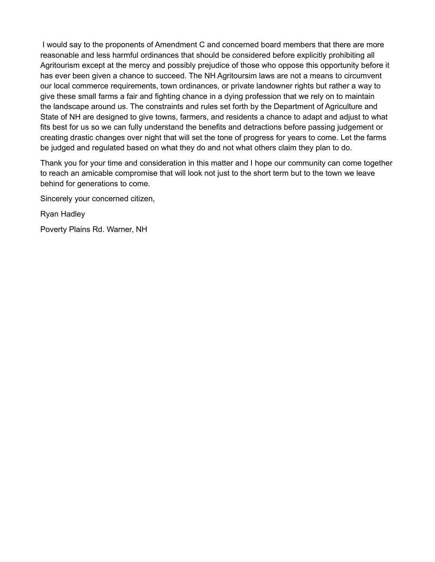I would say to the proponents of Amendment C and concerned board members that there are more reasonable and less harmful ordinances that should be considered before explicitly prohibiting all Agritourism except at the mercy and possibly prejudice of those who oppose this opportunity before it has ever been given a chance to succeed. The NH Agritoursim laws are not a means to circumvent our local commerce requirements, town ordinances, or private landowner rights but rather a way to give these small farms a fair and fighting chance in a dying profession that we rely on to maintain the landscape around us. The constraints and rules set forth by the Department of Agriculture and State of NH are designed to give towns, farmers, and residents a chance to adapt and adjust to what fits best for us so we can fully understand the benefits and detractions before passing judgement or creating drastic changes over night that will set the tone of progress for years to come. Let the farms be judged and regulated based on what they do and not what others claim they plan to do.

Thank you for your time and consideration in this matter and I hope our community can come together to reach an amicable compromise that will look not just to the short term but to the town we leave behind for generations to come.

Sincerely your concerned citizen,

Ryan Hadley

Poverty Plains Rd. Warner, NH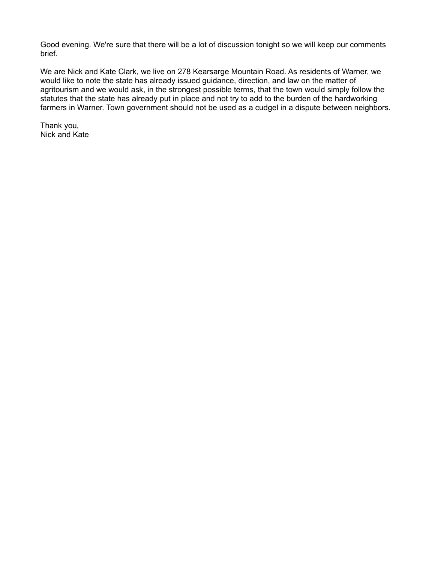Good evening. We're sure that there will be a lot of discussion tonight so we will keep our comments brief.

We are Nick and Kate Clark, we live on 278 Kearsarge Mountain Road. As residents of Warner, we would like to note the state has already issued guidance, direction, and law on the matter of agritourism and we would ask, in the strongest possible terms, that the town would simply follow the statutes that the state has already put in place and not try to add to the burden of the hardworking farmers in Warner. Town government should not be used as a cudgel in a dispute between neighbors.

Thank you, Nick and Kate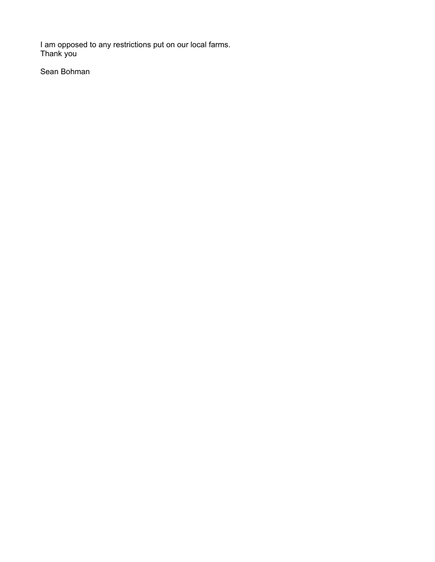I am opposed to any restrictions put on our local farms. Thank you

Sean Bohman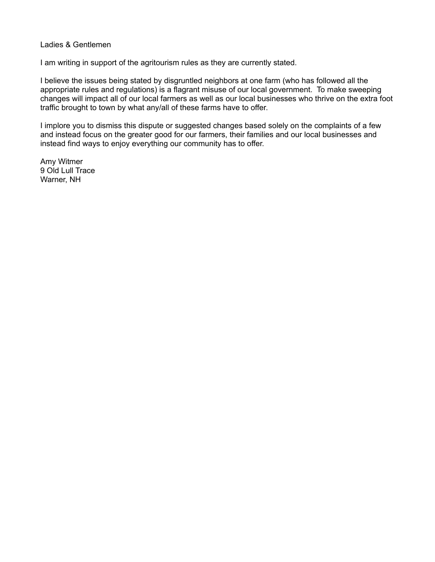## Ladies & Gentlemen

I am writing in support of the agritourism rules as they are currently stated.

I believe the issues being stated by disgruntled neighbors at one farm (who has followed all the appropriate rules and regulations) is a flagrant misuse of our local government. To make sweeping changes will impact all of our local farmers as well as our local businesses who thrive on the extra foot traffic brought to town by what any/all of these farms have to offer.

I implore you to dismiss this dispute or suggested changes based solely on the complaints of a few and instead focus on the greater good for our farmers, their families and our local businesses and instead find ways to enjoy everything our community has to offer.

Amy Witmer 9 Old Lull Trace Warner, NH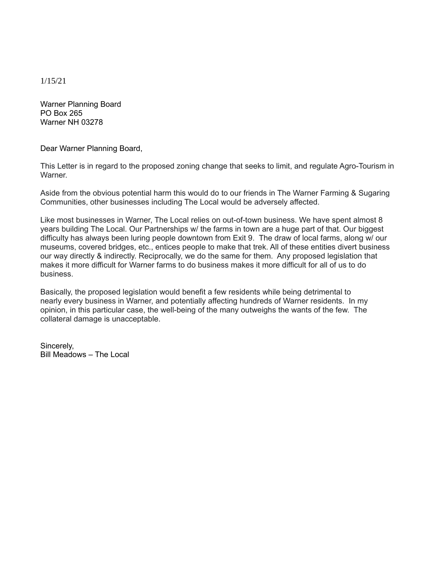1/15/21

Warner Planning Board PO Box 265 Warner NH 03278

Dear Warner Planning Board,

This Letter is in regard to the proposed zoning change that seeks to limit, and regulate Agro-Tourism in **Warner** 

Aside from the obvious potential harm this would do to our friends in The Warner Farming & Sugaring Communities, other businesses including The Local would be adversely affected.

Like most businesses in Warner, The Local relies on out-of-town business. We have spent almost 8 years building The Local. Our Partnerships w/ the farms in town are a huge part of that. Our biggest difficulty has always been luring people downtown from Exit 9. The draw of local farms, along w/ our museums, covered bridges, etc., entices people to make that trek. All of these entities divert business our way directly & indirectly. Reciprocally, we do the same for them. Any proposed legislation that makes it more difficult for Warner farms to do business makes it more difficult for all of us to do business.

Basically, the proposed legislation would benefit a few residents while being detrimental to nearly every business in Warner, and potentially affecting hundreds of Warner residents. In my opinion, in this particular case, the well-being of the many outweighs the wants of the few. The collateral damage is unacceptable.

Sincerely, Bill Meadows – The Local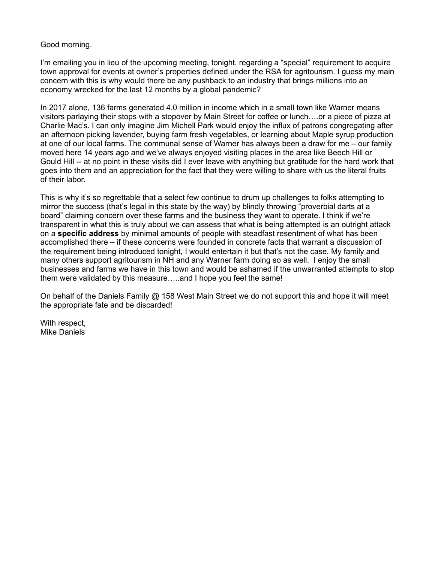## Good morning.

I'm emailing you in lieu of the upcoming meeting, tonight, regarding a "special" requirement to acquire town approval for events at owner's properties defined under the RSA for agritourism. I guess my main concern with this is why would there be any pushback to an industry that brings millions into an economy wrecked for the last 12 months by a global pandemic?

In 2017 alone, 136 farms generated 4.0 million in income which in a small town like Warner means visitors parlaying their stops with a stopover by Main Street for coffee or lunch….or a piece of pizza at Charlie Mac's. I can only imagine Jim Michell Park would enjoy the influx of patrons congregating after an afternoon picking lavender, buying farm fresh vegetables, or learning about Maple syrup production at one of our local farms. The communal sense of Warner has always been a draw for me – our family moved here 14 years ago and we've always enjoyed visiting places in the area like Beech Hill or Gould Hill -- at no point in these visits did I ever leave with anything but gratitude for the hard work that goes into them and an appreciation for the fact that they were willing to share with us the literal fruits of their labor.

This is why it's so regrettable that a select few continue to drum up challenges to folks attempting to mirror the success (that's legal in this state by the way) by blindly throwing "proverbial darts at a board" claiming concern over these farms and the business they want to operate. I think if we're transparent in what this is truly about we can assess that what is being attempted is an outright attack on a **specific address** by minimal amounts of people with steadfast resentment of what has been accomplished there – if these concerns were founded in concrete facts that warrant a discussion of the requirement being introduced tonight, I would entertain it but that's not the case. My family and many others support agritourism in NH and any Warner farm doing so as well. I enjoy the small businesses and farms we have in this town and would be ashamed if the unwarranted attempts to stop them were validated by this measure…..and I hope you feel the same!

On behalf of the Daniels Family @ 158 West Main Street we do not support this and hope it will meet the appropriate fate and be discarded!

With respect, Mike Daniels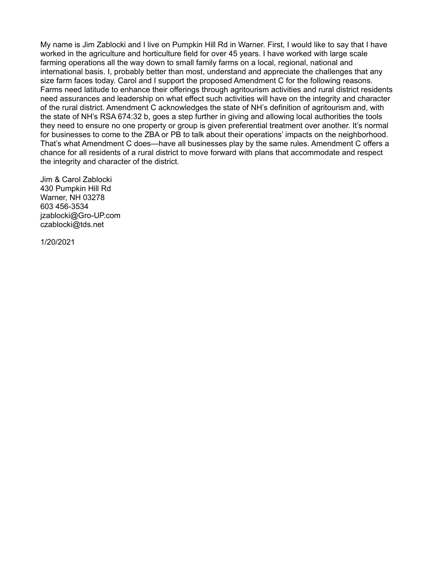My name is Jim Zablocki and I live on Pumpkin Hill Rd in Warner. First, I would like to say that I have worked in the agriculture and horticulture field for over 45 years. I have worked with large scale farming operations all the way down to small family farms on a local, regional, national and international basis. I, probably better than most, understand and appreciate the challenges that any size farm faces today. Carol and I support the proposed Amendment C for the following reasons. Farms need latitude to enhance their offerings through agritourism activities and rural district residents need assurances and leadership on what effect such activities will have on the integrity and character of the rural district. Amendment C acknowledges the state of NH's definition of agritourism and, with the state of NH's RSA 674:32 b, goes a step further in giving and allowing local authorities the tools they need to ensure no one property or group is given preferential treatment over another. It's normal for businesses to come to the ZBA or PB to talk about their operations' impacts on the neighborhood. That's what Amendment C does—have all businesses play by the same rules. Amendment C offers a chance for all residents of a rural district to move forward with plans that accommodate and respect the integrity and character of the district.

Jim & Carol Zablocki 430 Pumpkin Hill Rd Warner, NH 03278 603 456-3534 jzablocki@Gro-UP.com czablocki@tds.net

1/20/2021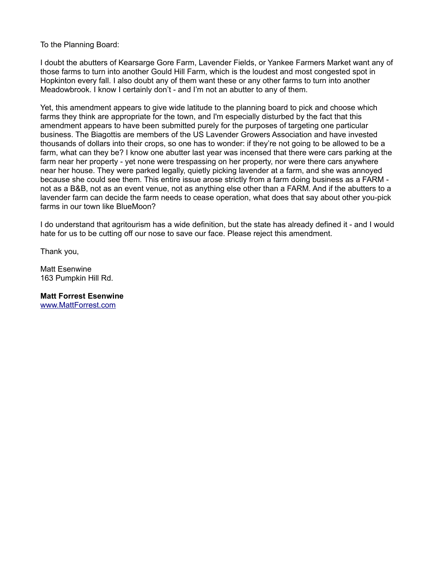To the Planning Board:

I doubt the abutters of Kearsarge Gore Farm, Lavender Fields, or Yankee Farmers Market want any of those farms to turn into another Gould Hill Farm, which is the loudest and most congested spot in Hopkinton every fall. I also doubt any of them want these or any other farms to turn into another Meadowbrook. I know I certainly don't - and I'm not an abutter to any of them.

Yet, this amendment appears to give wide latitude to the planning board to pick and choose which farms they think are appropriate for the town, and I'm especially disturbed by the fact that this amendment appears to have been submitted purely for the purposes of targeting one particular business. The Biagottis are members of the US Lavender Growers Association and have invested thousands of dollars into their crops, so one has to wonder: if they're not going to be allowed to be a farm, what can they be? I know one abutter last year was incensed that there were cars parking at the farm near her property - yet none were trespassing on her property, nor were there cars anywhere near her house. They were parked legally, quietly picking lavender at a farm, and she was annoyed because she could see them. This entire issue arose strictly from a farm doing business as a FARM not as a B&B, not as an event venue, not as anything else other than a FARM. And if the abutters to a lavender farm can decide the farm needs to cease operation, what does that say about other you-pick farms in our town like BlueMoon?

I do understand that agritourism has a wide definition, but the state has already defined it - and I would hate for us to be cutting off our nose to save our face. Please reject this amendment.

Thank you,

Matt Esenwine 163 Pumpkin Hill Rd.

**Matt Forrest Esenwine** [www.MattForrest.com](http://www.mattforrest.com/)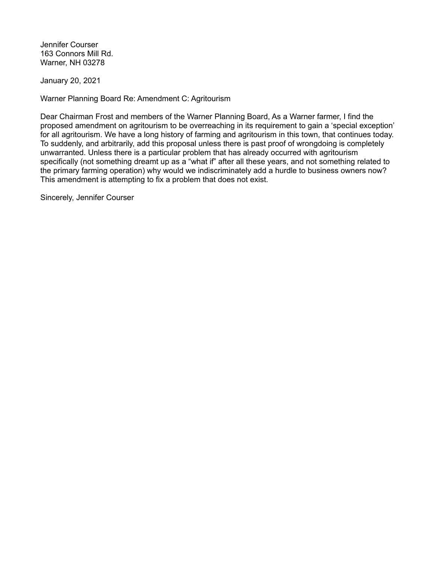Jennifer Courser 163 Connors Mill Rd. Warner, NH 03278

January 20, 2021

Warner Planning Board Re: Amendment C: Agritourism

Dear Chairman Frost and members of the Warner Planning Board, As a Warner farmer, I find the proposed amendment on agritourism to be overreaching in its requirement to gain a 'special exception' for all agritourism. We have a long history of farming and agritourism in this town, that continues today. To suddenly, and arbitrarily, add this proposal unless there is past proof of wrongdoing is completely unwarranted. Unless there is a particular problem that has already occurred with agritourism specifically (not something dreamt up as a "what if" after all these years, and not something related to the primary farming operation) why would we indiscriminately add a hurdle to business owners now? This amendment is attempting to fix a problem that does not exist.

Sincerely, Jennifer Courser